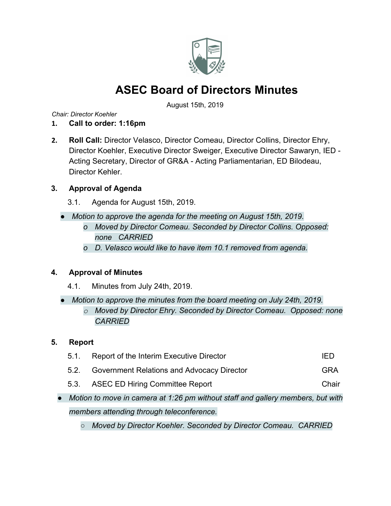

August 15th, 2019

*Chair: Director Koehler*

- **1. Call to order: 1:16pm**
- **2. Roll Call:** Director Velasco, Director Comeau, Director Collins, Director Ehry, Director Koehler, Executive Director Sweiger, Executive Director Sawaryn, IED - Acting Secretary, Director of GR&A - Acting Parliamentarian, ED Bilodeau, Director Kehler.

## **3. Approval of Agenda**

- 3.1. Agenda for August 15th, 2019.
- *● Motion to approve the agenda for the meeting on August 15th, 2019.*
	- *o Moved by Director Comeau. Seconded by Director Collins. Opposed: none CARRIED*
	- *o D. Velasco would like to have item 10.1 removed from agenda.*

## **4. Approval of Minutes**

- 4.1. Minutes from July 24th, 2019.
- *● Motion to approve the minutes from the board meeting on July 24th, 2019. o Moved by Director Ehry. Seconded by Director Comeau. Opposed: none CARRIED*

## **5. Report**

| 5.1. | Report of the Interim Executive Director                                          | IED        |
|------|-----------------------------------------------------------------------------------|------------|
| 5.2. | Government Relations and Advocacy Director                                        | <b>GRA</b> |
| 5.3. | <b>ASEC ED Hiring Committee Report</b>                                            | Chair      |
|      | • Motion to move in camera at 1:26 pm without staff and gallery members, but with |            |
|      | members attending through teleconference.                                         |            |

*○ Moved by Director Koehler. Seconded by Director Comeau. CARRIED*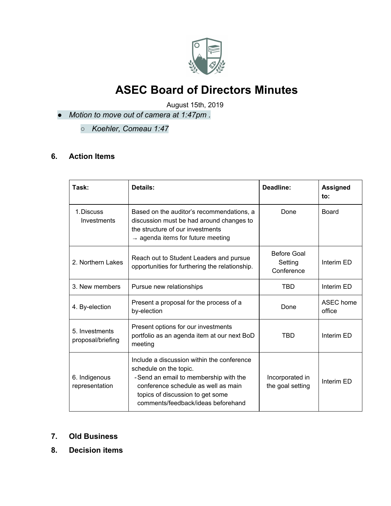

August 15th, 2019

- *● Motion to move out of camera at 1:47pm .*
	- *○ Koehler, Comeau 1:47*

## **6. Action Items**

| Task:                               | Details:                                                                                                                                                                                                                       | Deadline:                            | <b>Assigned</b><br>to: |
|-------------------------------------|--------------------------------------------------------------------------------------------------------------------------------------------------------------------------------------------------------------------------------|--------------------------------------|------------------------|
| 1. Discuss<br>Investments           | Based on the auditor's recommendations, a<br>discussion must be had around changes to<br>the structure of our investments<br>$\rightarrow$ agenda items for future meeting                                                     | Done                                 | <b>Board</b>           |
| 2. Northern Lakes                   | Reach out to Student Leaders and pursue<br>opportunities for furthering the relationship.                                                                                                                                      | Before Goal<br>Setting<br>Conference | Interim ED             |
| 3. New members                      | Pursue new relationships                                                                                                                                                                                                       | TBD                                  | Interim ED             |
| 4. By-election                      | Present a proposal for the process of a<br>by-election                                                                                                                                                                         | Done                                 | ASEC home<br>office    |
| 5. Investments<br>proposal/briefing | Present options for our investments<br>portfolio as an agenda item at our next BoD<br>meeting                                                                                                                                  | TBD                                  | Interim ED             |
| 6. Indigenous<br>representation     | Include a discussion within the conference<br>schedule on the topic.<br>-Send an email to membership with the<br>conference schedule as well as main<br>topics of discussion to get some<br>comments/feedback/ideas beforehand | Incorporated in<br>the goal setting  | Interim ED             |

#### **7. Old Business**

**8. Decision items**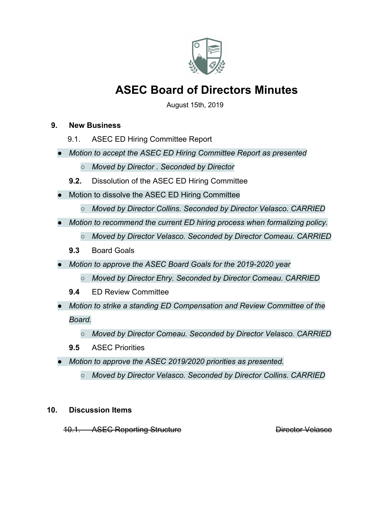

August 15th, 2019

#### **9. New Business**

- 9.1. ASEC ED Hiring Committee Report
- *● Motion to accept the ASEC ED Hiring Committee Report as presented*
	- *○ Moved by Director . Seconded by Director*
	- **9.2.** Dissolution of the ASEC ED Hiring Committee
- Motion to dissolve the ASEC ED Hiring Committee
	- *○ Moved by Director Collins. Seconded by Director Velasco. CARRIED*
- *● Motion to recommend the current ED hiring process when formalizing policy.*
	- *○ Moved by Director Velasco. Seconded by Director Comeau. CARRIED*
	- **9.3** Board Goals
- *● Motion to approve the ASEC Board Goals for the 2019-2020 year*
	- *○ Moved by Director Ehry. Seconded by Director Comeau. CARRIED*
	- **9.4** ED Review Committee
- *● Motion to strike a standing ED Compensation and Review Committee of the Board.*
	- *○ Moved by Director Comeau. Seconded by Director Velasco. CARRIED*
	- **9.5** ASEC Priorities
- *● Motion to approve the ASEC 2019/2020 priorities as presented.*
	- *○ Moved by Director Velasco. Seconded by Director Collins. CARRIED*

### **10. Discussion Items**

10.1. ASEC Reporting Structure **Director Velasco**